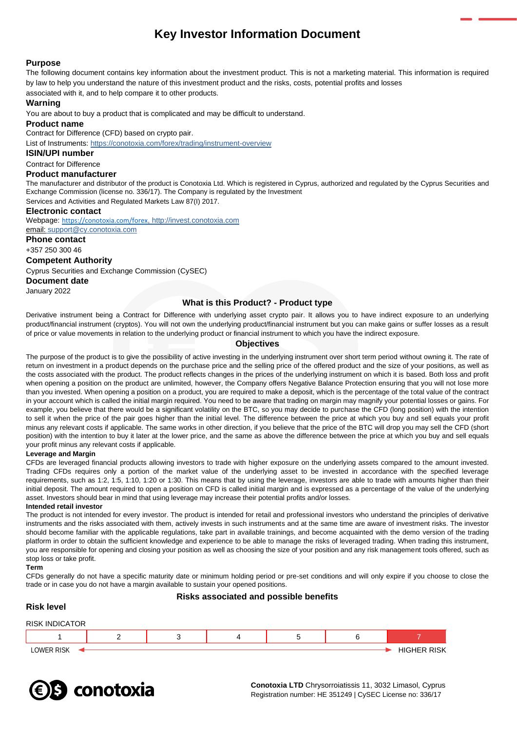# **Key Investor Information Document**

## **Purpose**

The following document contains key information about the investment product. This is not a marketing material. This information is required by law to help you understand the nature of this investment product and the risks, costs, potential profits and losses

associated with it, and to help compare it to other products.

## **Warning**

You are about to buy a product that is complicated and may be difficult to understand.

#### **Product name**

Contract for Difference (CFD) based on crypto pair.

List of Instruments: <https://conotoxia.com/forex/trading/instrument-overview>

#### **ISIN/UPI number**

## Contract for Difference

## **Product manufacturer**

The manufacturer and distributor of the product is Conotoxia Ltd. Which is registered in Cyprus, authorized and regulated by the Cyprus Securities and Exchange Commission (license no. 336/17). The Company is regulated by the Investment Services and Activities and Regulated Markets Law 87(I) 2017.

# **Electronic contact**

Webpage: <https://conotoxia.com/forex>, http://invest.conotoxia.com email: support@cy.conotoxia.com

#### **Phone contact**

+357 250 300 46

## **Competent Authority**

Cyprus Securities and Exchange Commission (CySEC)

## **Document date**

January 2022

## **What is this Product? - Product type**

Derivative instrument being a Contract for Difference with underlying asset crypto pair. It allows you to have indirect exposure to an underlying product/financial instrument (cryptos). You will not own the underlying product/financial instrument but you can make gains or suffer losses as a result of price or value movements in relation to the underlying product or financial instrument to which you have the indirect exposure.

## **Objectives**

The purpose of the product is to give the possibility of active investing in the underlying instrument over short term period without owning it. The rate of return on investment in a product depends on the purchase price and the selling price of the offered product and the size of your positions, as well as the costs associated with the product. The product reflects changes in the prices of the underlying instrument on which it is based. Both loss and profit when opening a position on the product are unlimited, however, the Company offers Negative Balance Protection ensuring that you will not lose more than you invested. When opening a position on a product, you are required to make a deposit, which is the percentage of the total value of the contract in your account which is called the initial margin required. You need to be aware that trading on margin may magnify your potential losses or gains. For example, you believe that there would be a significant volatility on the BTC, so you may decide to purchase the CFD (long position) with the intention to sell it when the price of the pair goes higher than the initial level. The difference between the price at which you buy and sell equals your profit minus any relevant costs if applicable. The same works in other direction, if you believe that the price of the BTC will drop you may sell the CFD (short position) with the intention to buy it later at the lower price, and the same as above the difference between the price at which you buy and sell equals your profit minus any relevant costs if applicable.

#### **Leverage and Margin**

CFDs are leveraged financial products allowing investors to trade with higher exposure on the underlying assets compared to the amount invested. Trading CFDs requires only a portion of the market value of the underlying asset to be invested in accordance with the specified leverage requirements, such as 1:2, 1:5, 1:10, 1:20 or 1:30. This means that by using the leverage, investors are able to trade with amounts higher than their initial deposit. The amount required to open a position on CFD is called initial margin and is expressed as a percentage of the value of the underlying asset. Investors should bear in mind that using leverage may increase their potential profits and/or losses.

#### **Intended retail investor**

The product is not intended for every investor. The product is intended for retail and professional investors who understand the principles of derivative instruments and the risks associated with them, actively invests in such instruments and at the same time are aware of investment risks. The investor should become familiar with the applicable regulations, take part in available trainings, and become acquainted with the demo version of the trading platform in order to obtain the sufficient knowledge and experience to be able to manage the risks of leveraged trading. When trading this instrument, you are responsible for opening and closing your position as well as choosing the size of your position and any risk management tools offered, such as stop loss or take profit.

#### **Term**

CFDs generally do not have a specific maturity date or minimum holding period or pre-set conditions and will only expire if you choose to close the trade or in case you do not have a margin available to sustain your opened positions.

#### **Risks associated and possible benefits**

## **Risk level** RISK INDICATOR

| RISK INI<br>OR.<br>ж<br>.А |  |  |                           |
|----------------------------|--|--|---------------------------|
|                            |  |  |                           |
| LOWER RISK                 |  |  | <b>RISK</b><br>HIC'<br>-- |

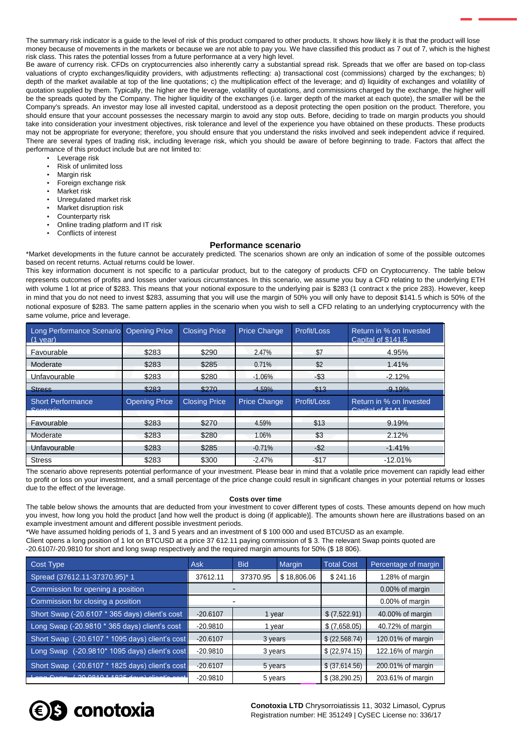The summary risk indicator is a guide to the level of risk of this product compared to other products. It shows how likely it is that the product will lose money because of movements in the markets or because we are not able to pay you. We have classified this product as 7 out of 7, which is the highest risk class. This rates the potential losses from a future performance at a very high level.

Be aware of currency risk. CFDs on cryptocurrencies also inherently carry a substantial spread risk. Spreads that we offer are based on top-class valuations of crypto exchanges/liquidity providers, with adjustments reflecting: a) transactional cost (commissions) charged by the exchanges; b) depth of the market available at top of the line quotations; c) the multiplication effect of the leverage; and d) liquidity of exchanges and volatility of quotation supplied by them. Typically, the higher are the leverage, volatility of quotations, and commissions charged by the exchange, the higher will be the spreads quoted by the Company. The higher liquidity of the exchanges (i.e. larger depth of the market at each quote), the smaller will be the Company's spreads. An investor may lose all invested capital, understood as a deposit protecting the open position on the product. Therefore, you should ensure that your account possesses the necessary margin to avoid any stop outs. Before, deciding to trade on margin products you should take into consideration your investment objectives, risk tolerance and level of the experience you have obtained on these products. These products may not be appropriate for everyone; therefore, you should ensure that you understand the risks involved and seek independent advice if required. There are several types of trading risk, including leverage risk, which you should be aware of before beginning to trade. Factors that affect the performance of this product include but are not limited to:

- Leverage risk
- Risk of unlimited loss
- Margin risk
- Foreign exchange risk
- Market risk
- Unregulated market risk
- Market disruption risk
- Counterparty risk
- Online trading platform and IT risk
- Conflicts of interest

#### **Performance scenario**

\*Market developments in the future cannot be accurately predicted. The scenarios shown are only an indication of some of the possible outcomes based on recent returns. Actual returns could be lower.

This key information document is not specific to a particular product, but to the category of products CFD on Cryptocurrency. The table below represents outcomes of profits and losses under various circumstances. In this scenario, we assume you buy a CFD relating to the underlying ETH with volume 1 lot at price of \$283. This means that your notional exposure to the underlying pair is \$283 (1 contract x the price 283). However, keep in mind that you do not need to invest \$283, assuming that you will use the margin of 50% you will only have to deposit \$141.5 which is 50% of the notional exposure of \$283. The same pattern applies in the scenario when you wish to sell a CFD relating to an underlying cryptocurrency with the same volume, price and leverage.

| Long Performance Scenario Opening Price<br>$(1$ vear) |                      | <b>Closing Price</b> | <b>Price Change</b> | Profit/Loss | Return in % on Invested<br>Capital of \$141.5                                                         |
|-------------------------------------------------------|----------------------|----------------------|---------------------|-------------|-------------------------------------------------------------------------------------------------------|
| Favourable                                            | \$283                | \$290                | 2.47%               | \$7         | 4.95%                                                                                                 |
| Moderate                                              | \$283                | \$285                | 0.71%               | \$2         | 1.41%                                                                                                 |
| Unfavourable                                          | \$283                | \$280                | $-1.06%$            | $-$ \$3     | $-2.12%$                                                                                              |
| <b>Stress</b>                                         | \$283                | \$270                | $-4.59%$            | $-$ \$13    | $-9.19%$                                                                                              |
|                                                       |                      |                      |                     |             |                                                                                                       |
| <b>Short Performance</b><br>Cooperio                  | <b>Opening Price</b> | <b>Closing Price</b> | <b>Price Change</b> | Profit/Loss | Return in % on Invested<br>$Conifoldsymbol{A}$ $\uparrow$ $\uparrow$ $\uparrow$ $\uparrow$ $\uparrow$ |
| Favourable                                            | \$283                | \$270                | 4.59%               | \$13        | 9.19%                                                                                                 |
| Moderate                                              | \$283                | \$280                | 1.06%               | \$3         | 2.12%                                                                                                 |
| Unfavourable                                          | \$283                | \$285                | $-0.71%$            | $-$ \$2     | $-1.41%$                                                                                              |

The scenario above represents potential performance of your investment. Please bear in mind that a volatile price movement can rapidly lead either to profit or loss on your investment, and a small percentage of the price change could result in significant changes in your potential returns or losses due to the effect of the leverage.

#### **Costs over time**

The table below shows the amounts that are deducted from your investment to cover different types of costs. These amounts depend on how much you invest, how long you hold the product [and how well the product is doing (if applicable)]. The amounts shown here are illustrations based on an example investment amount and different possible investment periods.

\*We have assumed holding periods of 1, 3 and 5 years and an investment of \$ 100 000 and used BTCUSD as an example. Client opens a long position of 1 lot on BTCUSD at a price 37 612.11 paying commission of \$ 3. The relevant Swap points quoted are -20.6107/-20.9810 for short and long swap respectively and the required margin amounts for 50% (\$ 18 806).

| Cost Type                                       | <b>Ask</b> | <b>Bid</b> | Margin      | <b>Total Cost</b> | Percentage of margin |
|-------------------------------------------------|------------|------------|-------------|-------------------|----------------------|
| Spread (37612.11-37370.95)* 1                   | 37612.11   | 37370.95   | \$18,806.06 | \$241.16          | 1.28% of margin      |
| Commission for opening a position               |            |            |             |                   | 0.00% of margin      |
| Commission for closing a position               |            |            |             |                   | 0.00% of margin      |
| Short Swap (-20.6107 * 365 days) client's cost  | $-20.6107$ | 1 year     |             | \$ (7,522.91)     | 40.00% of margin     |
| Long Swap (-20.9810 * 365 days) client's cost   | $-20.9810$ | 1 year     |             | \$ (7,658.05)     | 40.72% of margin     |
| Short Swap (-20.6107 * 1095 days) client's cost | $-20.6107$ | 3 years    |             | \$ (22, 568.74)   | 120.01% of margin    |
| Long Swap (-20.9810* 1095 days) client's cost   | $-20.9810$ | 3 years    |             | \$ (22, 974.15)   | 122.16% of margin    |
| Short Swap (-20.6107 * 1825 days) client's cost | $-20.6107$ | 5 years    |             | \$ (37,614.56)    | 200.01% of margin    |
| $A O O F$ $A -$                                 | $-20.9810$ | 5 years    |             | \$ (38, 290.25)   | 203.61% of margin    |